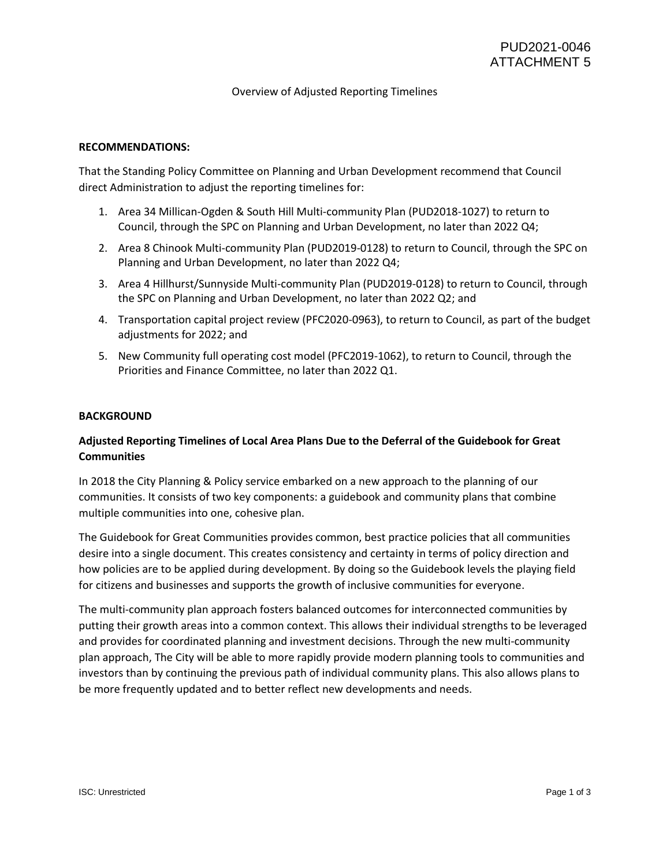## Overview of Adjusted Reporting Timelines

## **RECOMMENDATIONS:**

That the Standing Policy Committee on Planning and Urban Development recommend that Council direct Administration to adjust the reporting timelines for:

- 1. Area 34 Millican-Ogden & South Hill Multi-community Plan (PUD2018-1027) to return to Council, through the SPC on Planning and Urban Development, no later than 2022 Q4;
- 2. Area 8 Chinook Multi-community Plan (PUD2019-0128) to return to Council, through the SPC on Planning and Urban Development, no later than 2022 Q4;
- 3. Area 4 Hillhurst/Sunnyside Multi-community Plan (PUD2019-0128) to return to Council, through the SPC on Planning and Urban Development, no later than 2022 Q2; and
- 4. Transportation capital project review (PFC2020-0963), to return to Council, as part of the budget adjustments for 2022; and
- 5. New Community full operating cost model (PFC2019-1062), to return to Council, through the Priorities and Finance Committee, no later than 2022 Q1.

#### **BACKGROUND**

# **Adjusted Reporting Timelines of Local Area Plans Due to the Deferral of the Guidebook for Great Communities**

In 2018 the City Planning & Policy service embarked on a new approach to the planning of our communities. It consists of two key components: a guidebook and community plans that combine multiple communities into one, cohesive plan.

The Guidebook for Great Communities provides common, best practice policies that all communities desire into a single document. This creates consistency and certainty in terms of policy direction and how policies are to be applied during development. By doing so the Guidebook levels the playing field for citizens and businesses and supports the growth of inclusive communities for everyone.

The multi-community plan approach fosters balanced outcomes for interconnected communities by putting their growth areas into a common context. This allows their individual strengths to be leveraged and provides for coordinated planning and investment decisions. Through the new multi-community plan approach, The City will be able to more rapidly provide modern planning tools to communities and investors than by continuing the previous path of individual community plans. This also allows plans to be more frequently updated and to better reflect new developments and needs.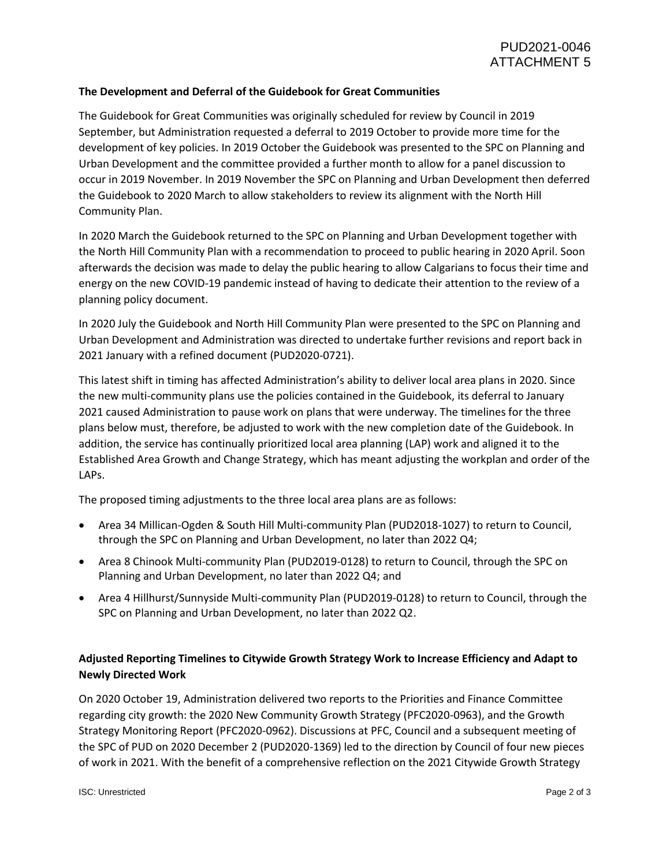# **The Development and Deferral of the Guidebook for Great Communities**

The Guidebook for Great Communities was originally scheduled for review by Council in 2019 September, but Administration requested a deferral to 2019 October to provide more time for the development of key policies. In 2019 October the Guidebook was presented to the SPC on Planning and Urban Development and the committee provided a further month to allow for a panel discussion to occur in 2019 November. In 2019 November the SPC on Planning and Urban Development then deferred the Guidebook to 2020 March to allow stakeholders to review its alignment with the North Hill Community Plan.

In 2020 March the Guidebook returned to the SPC on Planning and Urban Development together with the North Hill Community Plan with a recommendation to proceed to public hearing in 2020 April. Soon afterwards the decision was made to delay the public hearing to allow Calgarians to focus their time and energy on the new COVID-19 pandemic instead of having to dedicate their attention to the review of a planning policy document.

In 2020 July the Guidebook and North Hill Community Plan were presented to the SPC on Planning and Urban Development and Administration was directed to undertake further revisions and report back in 2021 January with a refined document (PUD2020-0721).

This latest shift in timing has affected Administration's ability to deliver local area plans in 2020. Since the new multi-community plans use the policies contained in the Guidebook, its deferral to January 2021 caused Administration to pause work on plans that were underway. The timelines for the three plans below must, therefore, be adjusted to work with the new completion date of the Guidebook. In addition, the service has continually prioritized local area planning (LAP) work and aligned it to the Established Area Growth and Change Strategy, which has meant adjusting the workplan and order of the LAPs.

The proposed timing adjustments to the three local area plans are as follows:

- Area 34 Millican-Ogden & South Hill Multi-community Plan (PUD2018-1027) to return to Council, through the SPC on Planning and Urban Development, no later than 2022 Q4;
- Area 8 Chinook Multi-community Plan (PUD2019-0128) to return to Council, through the SPC on Planning and Urban Development, no later than 2022 Q4; and
- Area 4 Hillhurst/Sunnyside Multi-community Plan (PUD2019-0128) to return to Council, through the SPC on Planning and Urban Development, no later than 2022 Q2.

# **Adjusted Reporting Timelines to Citywide Growth Strategy Work to Increase Efficiency and Adapt to Newly Directed Work**

On 2020 October 19, Administration delivered two reports to the Priorities and Finance Committee regarding city growth: the 2020 New Community Growth Strategy (PFC2020-0963), and the Growth Strategy Monitoring Report (PFC2020-0962). Discussions at PFC, Council and a subsequent meeting of the SPC of PUD on 2020 December 2 (PUD2020-1369) led to the direction by Council of four new pieces of work in 2021. With the benefit of a comprehensive reflection on the 2021 Citywide Growth Strategy